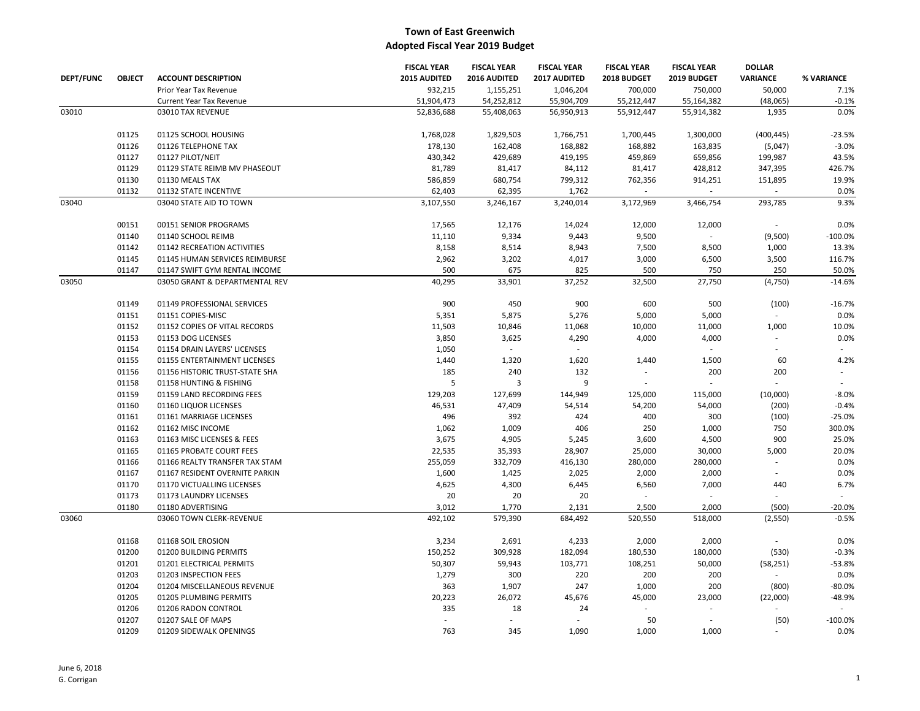|                  |               |                                 | <b>FISCAL YEAR</b> | <b>FISCAL YEAR</b> | <b>FISCAL YEAR</b> | <b>FISCAL YEAR</b> | <b>FISCAL YEAR</b>       | <b>DOLLAR</b>   |            |
|------------------|---------------|---------------------------------|--------------------|--------------------|--------------------|--------------------|--------------------------|-----------------|------------|
| <b>DEPT/FUNC</b> | <b>OBJECT</b> | <b>ACCOUNT DESCRIPTION</b>      | 2015 AUDITED       | 2016 AUDITED       | 2017 AUDITED       | 2018 BUDGET        | 2019 BUDGET              | <b>VARIANCE</b> | % VARIANCE |
|                  |               | Prior Year Tax Revenue          | 932,215            | 1,155,251          | 1,046,204          | 700,000            | 750,000                  | 50,000          | 7.1%       |
|                  |               | <b>Current Year Tax Revenue</b> | 51,904,473         | 54,252,812         | 55,904,709         | 55,212,447         | 55,164,382               | (48,065)        | $-0.1%$    |
| 03010            |               | 03010 TAX REVENUE               | 52,836,688         | 55,408,063         | 56,950,913         | 55,912,447         | 55,914,382               | 1,935           | 0.0%       |
|                  | 01125         | 01125 SCHOOL HOUSING            | 1,768,028          | 1,829,503          | 1,766,751          | 1,700,445          | 1,300,000                | (400, 445)      | $-23.5%$   |
|                  | 01126         | 01126 TELEPHONE TAX             | 178,130            | 162,408            | 168,882            | 168,882            | 163,835                  | (5,047)         | $-3.0%$    |
|                  | 01127         | 01127 PILOT/NEIT                | 430,342            | 429,689            | 419,195            | 459,869            | 659,856                  | 199,987         | 43.5%      |
|                  | 01129         | 01129 STATE REIMB MV PHASEOUT   | 81,789             | 81,417             | 84,112             | 81,417             | 428,812                  | 347,395         | 426.7%     |
|                  | 01130         | 01130 MEALS TAX                 | 586,859            | 680,754            | 799,312            | 762,356            | 914,251                  | 151,895         | 19.9%      |
|                  | 01132         | 01132 STATE INCENTIVE           | 62,403             | 62,395             | 1,762              |                    |                          |                 | 0.0%       |
| 03040            |               | 03040 STATE AID TO TOWN         | 3,107,550          | 3,246,167          | 3,240,014          | 3,172,969          | 3,466,754                | 293,785         | 9.3%       |
|                  | 00151         | 00151 SENIOR PROGRAMS           | 17,565             | 12,176             | 14,024             | 12,000             | 12,000                   | $\sim$          | 0.0%       |
|                  | 01140         | 01140 SCHOOL REIMB              | 11,110             | 9,334              | 9,443              | 9,500              | $\overline{\phantom{a}}$ | (9,500)         | $-100.0%$  |
|                  | 01142         | 01142 RECREATION ACTIVITIES     | 8,158              | 8,514              | 8,943              | 7,500              | 8,500                    | 1,000           | 13.3%      |
|                  | 01145         | 01145 HUMAN SERVICES REIMBURSE  | 2,962              | 3,202              | 4,017              | 3,000              | 6,500                    | 3,500           | 116.7%     |
|                  | 01147         | 01147 SWIFT GYM RENTAL INCOME   | 500                | 675                | 825                | 500                | 750                      | 250             | 50.0%      |
| 03050            |               | 03050 GRANT & DEPARTMENTAL REV  | 40,295             | 33,901             | 37,252             | 32,500             | 27,750                   | (4,750)         | $-14.6%$   |
|                  | 01149         | 01149 PROFESSIONAL SERVICES     | 900                | 450                | 900                | 600                | 500                      | (100)           | $-16.7%$   |
|                  | 01151         | 01151 COPIES-MISC               | 5,351              | 5,875              | 5,276              | 5,000              | 5,000                    |                 | 0.0%       |
|                  | 01152         | 01152 COPIES OF VITAL RECORDS   | 11,503             | 10,846             | 11,068             | 10,000             | 11,000                   | 1,000           | 10.0%      |
|                  | 01153         | 01153 DOG LICENSES              | 3,850              | 3,625              | 4,290              | 4,000              | 4,000                    | $\sim$          | 0.0%       |
|                  | 01154         | 01154 DRAIN LAYERS' LICENSES    | 1,050              |                    |                    |                    |                          | ÷               | $\sim$     |
|                  | 01155         | 01155 ENTERTAINMENT LICENSES    | 1,440              | 1,320              | 1,620              | 1,440              | 1,500                    | 60              | 4.2%       |
|                  | 01156         | 01156 HISTORIC TRUST-STATE SHA  | 185                | 240                | 132                |                    | 200                      | 200             | $\sim$     |
|                  | 01158         | 01158 HUNTING & FISHING         | 5                  | 3                  | 9                  |                    |                          |                 |            |
|                  | 01159         | 01159 LAND RECORDING FEES       | 129,203            | 127,699            | 144,949            | 125,000            | 115,000                  | (10,000)        | $-8.0%$    |
|                  | 01160         | 01160 LIQUOR LICENSES           | 46,531             | 47,409             | 54,514             | 54,200             | 54,000                   | (200)           | $-0.4%$    |
|                  | 01161         | 01161 MARRIAGE LICENSES         | 496                | 392                | 424                | 400                | 300                      | (100)           | $-25.0%$   |
|                  | 01162         | 01162 MISC INCOME               | 1,062              | 1,009              | 406                | 250                | 1,000                    | 750             | 300.0%     |
|                  | 01163         | 01163 MISC LICENSES & FEES      | 3,675              | 4,905              | 5,245              | 3,600              | 4,500                    | 900             | 25.0%      |
|                  | 01165         | 01165 PROBATE COURT FEES        | 22,535             | 35,393             | 28,907             | 25,000             | 30,000                   | 5,000           | 20.0%      |
|                  | 01166         | 01166 REALTY TRANSFER TAX STAM  | 255,059            | 332,709            | 416,130            | 280,000            | 280,000                  | $\sim$          | 0.0%       |
|                  | 01167         | 01167 RESIDENT OVERNITE PARKIN  | 1,600              | 1,425              | 2,025              | 2,000              | 2,000                    |                 | 0.0%       |
|                  | 01170         | 01170 VICTUALLING LICENSES      | 4,625              | 4,300              | 6,445              | 6,560              | 7,000                    | 440             | 6.7%       |
|                  | 01173         | 01173 LAUNDRY LICENSES          | 20                 | 20                 | 20                 | $\blacksquare$     | $\mathbf{r}$             |                 | ÷.         |
|                  | 01180         | 01180 ADVERTISING               | 3,012              | 1,770              | 2,131              | 2,500              | 2,000                    | (500)           | $-20.0%$   |
| 03060            |               | 03060 TOWN CLERK-REVENUE        | 492,102            | 579,390            | 684,492            | 520,550            | 518,000                  | (2,550)         | $-0.5%$    |
|                  | 01168         | 01168 SOIL EROSION              | 3,234              | 2,691              | 4,233              | 2,000              | 2,000                    | $\sim$          | 0.0%       |
|                  | 01200         | 01200 BUILDING PERMITS          | 150,252            | 309,928            | 182,094            | 180,530            | 180,000                  | (530)           | $-0.3%$    |
|                  | 01201         | 01201 ELECTRICAL PERMITS        | 50,307             | 59,943             | 103,771            | 108,251            | 50,000                   | (58, 251)       | $-53.8%$   |
|                  | 01203         | 01203 INSPECTION FEES           | 1,279              | 300                | 220                | 200                | 200                      |                 | 0.0%       |
|                  | 01204         | 01204 MISCELLANEOUS REVENUE     | 363                | 1,907              | 247                | 1,000              | 200                      | (800)           | $-80.0%$   |
|                  | 01205         | 01205 PLUMBING PERMITS          | 20,223             | 26,072             | 45,676             | 45,000             | 23,000                   | (22,000)        | $-48.9%$   |
|                  | 01206         | 01206 RADON CONTROL             | 335                | 18                 | 24                 |                    |                          |                 |            |
|                  | 01207         | 01207 SALE OF MAPS              | $\bar{a}$          |                    |                    | 50                 | $\overline{\phantom{a}}$ | (50)            | $-100.0%$  |
|                  | 01209         | 01209 SIDEWALK OPENINGS         | 763                | 345                | 1,090              | 1,000              | 1,000                    |                 | 0.0%       |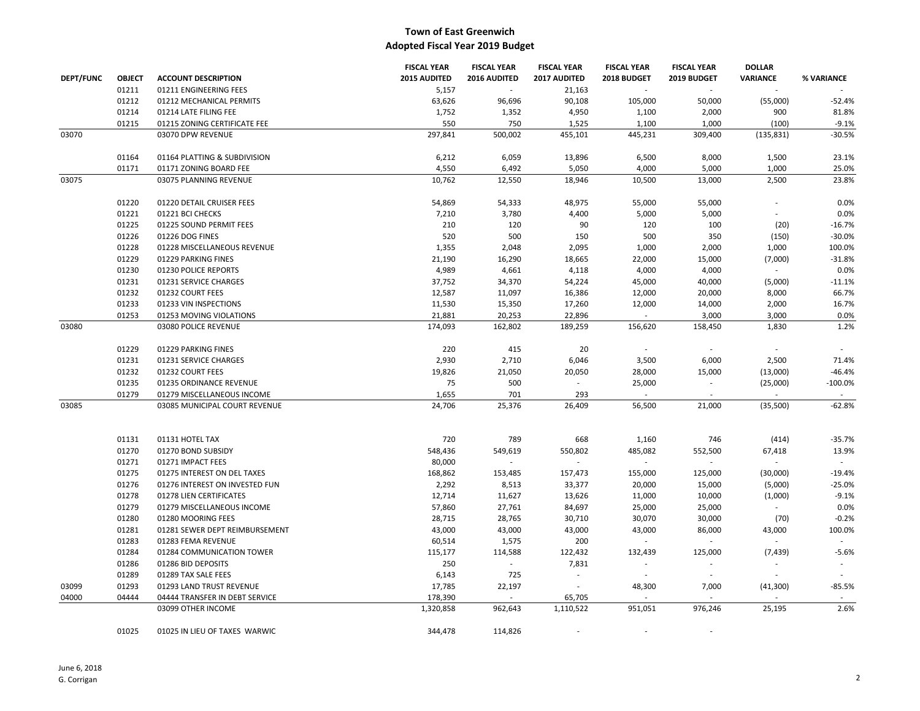|                  |               |                                | <b>FISCAL YEAR</b> | <b>FISCAL YEAR</b> | <b>FISCAL YEAR</b> | <b>FISCAL YEAR</b> | <b>FISCAL YEAR</b>          | <b>DOLLAR</b>   |            |
|------------------|---------------|--------------------------------|--------------------|--------------------|--------------------|--------------------|-----------------------------|-----------------|------------|
| <b>DEPT/FUNC</b> | <b>OBJECT</b> | <b>ACCOUNT DESCRIPTION</b>     | 2015 AUDITED       | 2016 AUDITED       | 2017 AUDITED       | 2018 BUDGET        | 2019 BUDGET                 | <b>VARIANCE</b> | % VARIANCE |
|                  | 01211         | 01211 ENGINEERING FEES         | 5,157              | $\sim$             | 21,163             | ×.                 | $\sim$                      |                 |            |
|                  | 01212         | 01212 MECHANICAL PERMITS       | 63,626             | 96,696             | 90,108             | 105,000            | 50,000                      | (55,000)        | $-52.4%$   |
|                  | 01214         | 01214 LATE FILING FEE          | 1,752              | 1,352              | 4,950              | 1,100              | 2,000                       | 900             | 81.8%      |
|                  | 01215         | 01215 ZONING CERTIFICATE FEE   | 550                | 750                | 1,525              | 1,100              | 1,000                       | (100)           | $-9.1%$    |
| 03070            |               | 03070 DPW REVENUE              | 297,841            | 500,002            | 455,101            | 445,231            | 309,400                     | (135, 831)      | $-30.5%$   |
|                  | 01164         | 01164 PLATTING & SUBDIVISION   | 6,212              | 6,059              | 13,896             | 6,500              | 8,000                       | 1,500           | 23.1%      |
|                  | 01171         | 01171 ZONING BOARD FEE         | 4,550              | 6,492              | 5,050              | 4,000              | 5,000                       | 1,000           | 25.0%      |
| 03075            |               | 03075 PLANNING REVENUE         | 10,762             | 12,550             | 18,946             | 10,500             | 13,000                      | 2,500           | 23.8%      |
|                  | 01220         | 01220 DETAIL CRUISER FEES      | 54,869             | 54,333             | 48,975             | 55,000             | 55,000                      |                 | 0.0%       |
|                  | 01221         | 01221 BCI CHECKS               | 7,210              | 3,780              | 4,400              | 5,000              | 5,000                       | $\sim$          | 0.0%       |
|                  | 01225         | 01225 SOUND PERMIT FEES        | 210                | 120                | 90                 | 120                | 100                         | (20)            | $-16.7%$   |
|                  | 01226         | 01226 DOG FINES                | 520                | 500                | 150                | 500                | 350                         | (150)           | $-30.0%$   |
|                  | 01228         | 01228 MISCELLANEOUS REVENUE    | 1,355              | 2,048              | 2,095              | 1,000              | 2,000                       | 1,000           | 100.0%     |
|                  | 01229         | 01229 PARKING FINES            | 21,190             | 16,290             | 18,665             | 22,000             | 15,000                      | (7,000)         | $-31.8%$   |
|                  | 01230         | 01230 POLICE REPORTS           | 4,989              | 4,661              | 4,118              | 4,000              | 4,000                       | $\sim$          | 0.0%       |
|                  | 01231         | 01231 SERVICE CHARGES          | 37,752             | 34,370             | 54,224             | 45,000             | 40,000                      | (5,000)         | $-11.1%$   |
|                  | 01232         | 01232 COURT FEES               | 12,587             | 11,097             | 16,386             | 12,000             | 20,000                      | 8,000           | 66.7%      |
|                  | 01233         | 01233 VIN INSPECTIONS          | 11,530             | 15,350             | 17,260             | 12,000             | 14,000                      | 2,000           | 16.7%      |
|                  | 01253         | 01253 MOVING VIOLATIONS        | 21,881             | 20,253             | 22,896             |                    | 3,000                       | 3,000           | 0.0%       |
| 03080            |               | 03080 POLICE REVENUE           | 174,093            | 162,802            | 189,259            | 156,620            | 158,450                     | 1,830           | 1.2%       |
|                  | 01229         | 01229 PARKING FINES            | 220                | 415                | 20                 | $\sim$             | $\overline{\phantom{a}}$    | $\sim$          |            |
|                  | 01231         | 01231 SERVICE CHARGES          | 2,930              | 2,710              | 6,046              | 3,500              | 6,000                       | 2,500           | 71.4%      |
|                  | 01232         | 01232 COURT FEES               | 19,826             | 21,050             | 20,050             | 28,000             | 15,000                      | (13,000)        | $-46.4%$   |
|                  | 01235         | 01235 ORDINANCE REVENUE        | 75                 | 500                | $\mathcal{L}$      | 25,000             | $\sim$                      | (25,000)        | $-100.0%$  |
|                  | 01279         | 01279 MISCELLANEOUS INCOME     | 1,655              | 701                | 293                |                    |                             | ÷               |            |
| 03085            |               | 03085 MUNICIPAL COURT REVENUE  | 24,706             | 25,376             | 26,409             | 56,500             | 21,000                      | (35,500)        | $-62.8%$   |
|                  | 01131         | 01131 HOTEL TAX                | 720                | 789                | 668                | 1,160              | 746                         | (414)           | $-35.7%$   |
|                  | 01270         | 01270 BOND SUBSIDY             | 548,436            | 549,619            | 550,802            | 485,082            | 552,500                     | 67,418          | 13.9%      |
|                  | 01271         | 01271 IMPACT FEES              | 80,000             | ÷.                 | ÷                  | ÷.                 | $\sim$                      | $\sim$          | $\sim$     |
|                  | 01275         | 01275 INTEREST ON DEL TAXES    | 168,862            | 153,485            | 157,473            | 155,000            | 125,000                     | (30,000)        | $-19.4%$   |
|                  | 01276         | 01276 INTEREST ON INVESTED FUN | 2,292              | 8,513              | 33,377             | 20,000             | 15,000                      | (5,000)         | $-25.0%$   |
|                  | 01278         | 01278 LIEN CERTIFICATES        | 12,714             | 11,627             | 13,626             | 11,000             | 10,000                      | (1,000)         | $-9.1%$    |
|                  | 01279         | 01279 MISCELLANEOUS INCOME     | 57,860             | 27,761             | 84,697             | 25,000             | 25,000                      | $\sim$          | 0.0%       |
|                  | 01280         | 01280 MOORING FEES             | 28,715             | 28,765             | 30,710             | 30,070             | 30,000                      | (70)            | $-0.2%$    |
|                  | 01281         | 01281 SEWER DEPT REIMBURSEMENT | 43,000             | 43,000             | 43,000             | 43,000             | 86,000                      | 43,000          | 100.0%     |
|                  | 01283         | 01283 FEMA REVENUE             | 60,514             | 1,575              | 200                | $\sim$             | $\mathcal{L}_{\mathcal{A}}$ | $\sim$          | $\sim$     |
|                  | 01284         | 01284 COMMUNICATION TOWER      | 115,177            | 114,588            | 122,432            | 132,439            | 125,000                     | (7, 439)        | $-5.6%$    |
|                  | 01286         | 01286 BID DEPOSITS             | 250                |                    | 7,831              |                    |                             |                 | $\sim$     |
|                  | 01289         | 01289 TAX SALE FEES            | 6,143              | 725                |                    | $\sim$             | ÷.                          | $\sim$          |            |
| 03099            | 01293         | 01293 LAND TRUST REVENUE       | 17,785             | 22,197             |                    | 48,300             | 7,000                       | (41,300)        | $-85.5%$   |
| 04000            | 04444         | 04444 TRANSFER IN DEBT SERVICE | 178,390            |                    | 65,705             |                    | ÷                           | ÷.              | $\sim$     |
|                  |               | 03099 OTHER INCOME             | 1,320,858          | 962,643            | 1,110,522          | 951,051            | 976,246                     | 25,195          | 2.6%       |
|                  | 01025         | 01025 IN LIEU OF TAXES WARWIC  | 344,478            | 114,826            |                    |                    |                             |                 |            |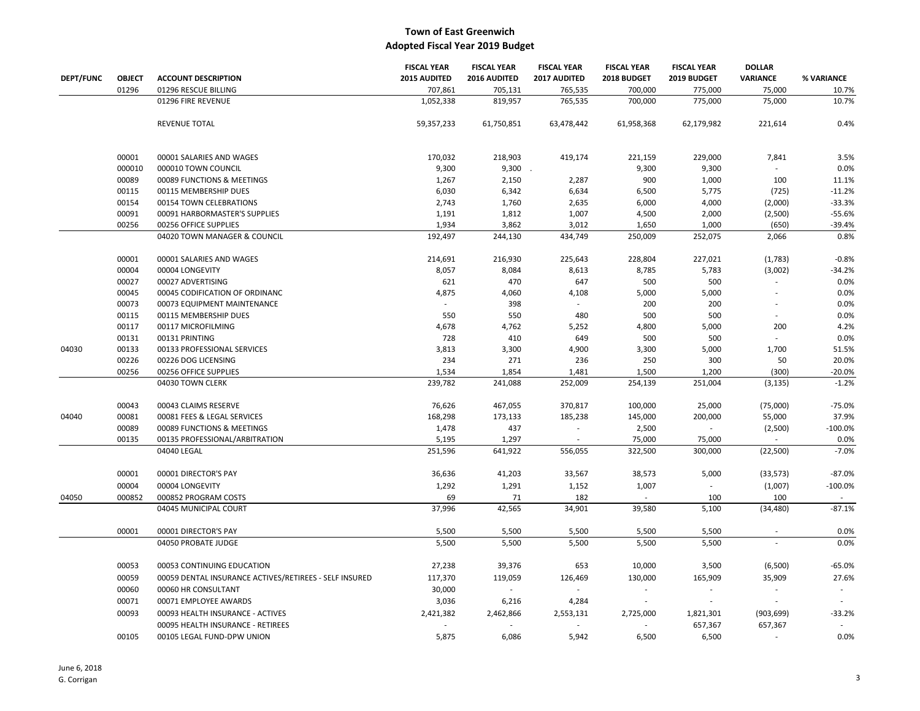|                  |               |                                                        | <b>FISCAL YEAR</b> | <b>FISCAL YEAR</b> | <b>FISCAL YEAR</b> | <b>FISCAL YEAR</b>       | <b>FISCAL YEAR</b> | <b>DOLLAR</b>               |            |
|------------------|---------------|--------------------------------------------------------|--------------------|--------------------|--------------------|--------------------------|--------------------|-----------------------------|------------|
| <b>DEPT/FUNC</b> | <b>OBJECT</b> | <b>ACCOUNT DESCRIPTION</b>                             | 2015 AUDITED       | 2016 AUDITED       | 2017 AUDITED       | 2018 BUDGET              | 2019 BUDGET        | <b>VARIANCE</b>             | % VARIANCE |
|                  | 01296         | 01296 RESCUE BILLING                                   | 707,861            | 705,131            | 765,535            | 700,000                  | 775,000            | 75,000                      | 10.7%      |
|                  |               | 01296 FIRE REVENUE                                     | 1,052,338          | 819,957            | 765,535            | 700,000                  | 775,000            | 75,000                      | 10.7%      |
|                  |               | <b>REVENUE TOTAL</b>                                   | 59,357,233         | 61,750,851         | 63,478,442         | 61,958,368               | 62,179,982         | 221,614                     | 0.4%       |
|                  |               |                                                        |                    |                    |                    |                          |                    |                             |            |
|                  | 00001         | 00001 SALARIES AND WAGES                               | 170,032            | 218,903            | 419,174            | 221,159                  | 229,000            | 7,841                       | 3.5%       |
|                  | 000010        | 000010 TOWN COUNCIL                                    | 9,300              | 9,300              |                    | 9,300                    | 9,300              | $\mathcal{L}^{\mathcal{A}}$ | 0.0%       |
|                  | 00089         | 00089 FUNCTIONS & MEETINGS                             | 1,267              | 2,150              | 2,287              | 900                      | 1,000              | 100                         | 11.1%      |
|                  | 00115         | 00115 MEMBERSHIP DUES                                  | 6,030              | 6,342              | 6,634              | 6,500                    | 5,775              | (725)                       | $-11.2%$   |
|                  | 00154         | 00154 TOWN CELEBRATIONS                                | 2,743              | 1,760              | 2,635              | 6,000                    | 4,000              | (2,000)                     | $-33.3%$   |
|                  | 00091         | 00091 HARBORMASTER'S SUPPLIES                          | 1,191              | 1,812              | 1,007              | 4,500                    | 2,000              | (2,500)                     | $-55.6%$   |
|                  | 00256         | 00256 OFFICE SUPPLIES                                  | 1,934              | 3,862              | 3,012              | 1,650                    | 1,000              | (650)                       | $-39.4%$   |
|                  |               | 04020 TOWN MANAGER & COUNCIL                           | 192,497            | 244,130            | 434,749            | 250,009                  | 252,075            | 2,066                       | 0.8%       |
|                  | 00001         | 00001 SALARIES AND WAGES                               | 214,691            | 216,930            | 225,643            | 228,804                  | 227,021            | (1,783)                     | $-0.8%$    |
|                  | 00004         | 00004 LONGEVITY                                        | 8,057              | 8,084              | 8,613              | 8,785                    | 5,783              | (3,002)                     | $-34.2%$   |
|                  | 00027         | 00027 ADVERTISING                                      | 621                | 470                | 647                | 500                      | 500                | ×.                          | 0.0%       |
|                  | 00045         | 00045 CODIFICATION OF ORDINANC                         | 4,875              | 4,060              | 4,108              | 5,000                    | 5,000              |                             | 0.0%       |
|                  | 00073         | 00073 EQUIPMENT MAINTENANCE                            |                    | 398                |                    | 200                      | 200                |                             | 0.0%       |
|                  | 00115         | 00115 MEMBERSHIP DUES                                  | 550                | 550                | 480                | 500                      | 500                | $\sim$                      | 0.0%       |
|                  | 00117         | 00117 MICROFILMING                                     | 4,678              | 4,762              | 5,252              | 4,800                    | 5,000              | 200                         | 4.2%       |
|                  | 00131         | 00131 PRINTING                                         | 728                | 410                | 649                | 500                      | 500                | $\sim$                      | 0.0%       |
| 04030            | 00133         | 00133 PROFESSIONAL SERVICES                            | 3,813              | 3,300              | 4,900              | 3,300                    | 5,000              | 1,700                       | 51.5%      |
|                  | 00226         | 00226 DOG LICENSING                                    | 234                | 271                | 236                | 250                      | 300                | 50                          | 20.0%      |
|                  | 00256         | 00256 OFFICE SUPPLIES                                  | 1,534              | 1,854              | 1,481              | 1,500                    | 1,200              | (300)                       | $-20.0%$   |
|                  |               | 04030 TOWN CLERK                                       | 239,782            | 241,088            | 252,009            | 254,139                  | 251,004            | (3, 135)                    | $-1.2%$    |
|                  | 00043         | 00043 CLAIMS RESERVE                                   | 76,626             | 467,055            | 370,817            | 100,000                  | 25,000             | (75,000)                    | $-75.0%$   |
| 04040            | 00081         | 00081 FEES & LEGAL SERVICES                            | 168,298            | 173,133            | 185,238            | 145,000                  | 200,000            | 55,000                      | 37.9%      |
|                  | 00089         | 00089 FUNCTIONS & MEETINGS                             | 1,478              | 437                |                    | 2,500                    | $\sim$             | (2,500)                     | $-100.0%$  |
|                  | 00135         | 00135 PROFESSIONAL/ARBITRATION                         | 5,195              | 1,297              | $\sim$             | 75,000                   | 75,000             | $\sim$                      | 0.0%       |
|                  |               | 04040 LEGAL                                            | 251,596            | 641,922            | 556,055            | 322,500                  | 300,000            | (22,500)                    | $-7.0%$    |
|                  | 00001         | 00001 DIRECTOR'S PAY                                   | 36,636             | 41,203             | 33,567             | 38,573                   | 5,000              | (33, 573)                   | $-87.0%$   |
|                  | 00004         | 00004 LONGEVITY                                        | 1,292              | 1,291              | 1,152              | 1,007                    | $\sim$             | (1,007)                     | $-100.0%$  |
| 04050            | 000852        | 000852 PROGRAM COSTS                                   | 69                 | 71                 | 182                | $\sim$                   | 100                | 100                         |            |
|                  |               | 04045 MUNICIPAL COURT                                  | 37,996             | 42,565             | 34,901             | 39,580                   | 5,100              | (34, 480)                   | $-87.1%$   |
|                  | 00001         | 00001 DIRECTOR'S PAY                                   | 5,500              | 5,500              | 5,500              | 5,500                    | 5,500              | $\overline{\phantom{a}}$    | 0.0%       |
|                  |               | 04050 PROBATE JUDGE                                    | 5,500              | 5,500              | 5,500              | 5,500                    | 5,500              |                             | 0.0%       |
|                  | 00053         | 00053 CONTINUING EDUCATION                             | 27,238             | 39,376             | 653                | 10,000                   | 3,500              | (6,500)                     | $-65.0%$   |
|                  | 00059         | 00059 DENTAL INSURANCE ACTIVES/RETIREES - SELF INSURED | 117,370            | 119,059            | 126,469            | 130,000                  | 165,909            | 35,909                      | 27.6%      |
|                  | 00060         | 00060 HR CONSULTANT                                    | 30,000             | $\sim$             | ÷.                 | $\sim$                   | $\sim$             | $\sim$                      | $\sim$     |
|                  | 00071         | 00071 EMPLOYEE AWARDS                                  | 3,036              | 6,216              | 4,284              |                          |                    |                             |            |
|                  | 00093         | 00093 HEALTH INSURANCE - ACTIVES                       | 2,421,382          | 2,462,866          | 2,553,131          | 2,725,000                | 1,821,301          | (903, 699)                  | $-33.2%$   |
|                  |               | 00095 HEALTH INSURANCE - RETIREES                      |                    |                    | ÷.                 | $\overline{\phantom{a}}$ | 657,367            | 657,367                     | $\sim$     |
|                  | 00105         | 00105 LEGAL FUND-DPW UNION                             | 5,875              | 6,086              | 5,942              | 6,500                    | 6,500              |                             | 0.0%       |
|                  |               |                                                        |                    |                    |                    |                          |                    |                             |            |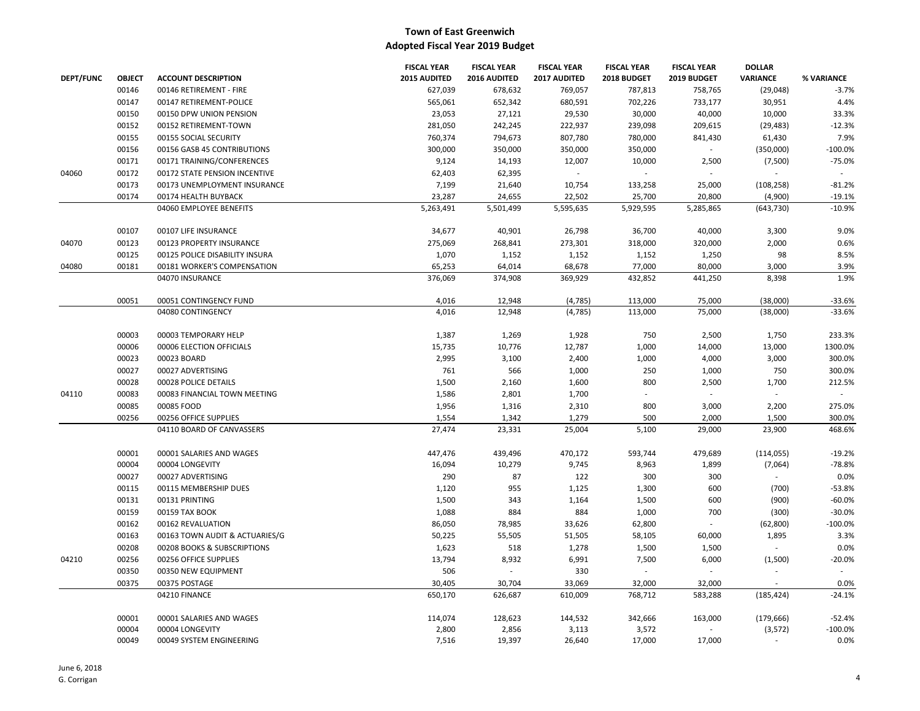|                  |               |                                                | <b>FISCAL YEAR</b> | <b>FISCAL YEAR</b> | <b>FISCAL YEAR</b> | <b>FISCAL YEAR</b>          | <b>FISCAL YEAR</b>          | <b>DOLLAR</b>   |               |
|------------------|---------------|------------------------------------------------|--------------------|--------------------|--------------------|-----------------------------|-----------------------------|-----------------|---------------|
| <b>DEPT/FUNC</b> | <b>OBJECT</b> | <b>ACCOUNT DESCRIPTION</b>                     | 2015 AUDITED       | 2016 AUDITED       | 2017 AUDITED       | 2018 BUDGET                 | 2019 BUDGET                 | <b>VARIANCE</b> | % VARIANCE    |
|                  | 00146         | 00146 RETIREMENT - FIRE                        | 627,039            | 678,632            | 769.057            | 787,813                     | 758.765                     | (29,048)        | $-3.7%$       |
|                  | 00147         | 00147 RETIREMENT-POLICE                        | 565,061            | 652,342            | 680,591            | 702,226                     | 733,177                     | 30,951          | 4.4%          |
|                  | 00150         | 00150 DPW UNION PENSION                        | 23,053             | 27,121             | 29,530             | 30,000                      | 40,000                      | 10,000          | 33.3%         |
|                  | 00152         | 00152 RETIREMENT-TOWN                          | 281,050            | 242,245            | 222,937            | 239,098                     | 209,615                     | (29, 483)       | $-12.3%$      |
|                  | 00155         | 00155 SOCIAL SECURITY                          | 760,374            | 794,673            | 807,780            | 780,000                     | 841,430                     | 61,430          | 7.9%          |
|                  | 00156         | 00156 GASB 45 CONTRIBUTIONS                    | 300,000            | 350,000            | 350,000            | 350,000                     | $\sim$                      | (350,000)       | $-100.0%$     |
|                  | 00171         | 00171 TRAINING/CONFERENCES                     | 9,124              | 14,193             | 12,007             | 10,000                      | 2,500                       | (7,500)         | $-75.0%$      |
| 04060            | 00172         | 00172 STATE PENSION INCENTIVE                  | 62,403             | 62,395             |                    | $\mathcal{L}_{\mathcal{A}}$ | $\sim$                      | $\sim$          | $\mathcal{L}$ |
|                  | 00173         | 00173 UNEMPLOYMENT INSURANCE                   | 7,199              | 21,640             | 10,754             | 133,258                     | 25,000                      | (108, 258)      | $-81.2%$      |
|                  | 00174         | 00174 HEALTH BUYBACK                           | 23,287             | 24,655             | 22,502             | 25,700                      | 20,800                      | (4,900)         | $-19.1%$      |
|                  |               | 04060 EMPLOYEE BENEFITS                        | 5,263,491          | 5,501,499          | 5,595,635          | 5,929,595                   | 5,285,865                   | (643, 730)      | $-10.9%$      |
|                  |               |                                                |                    |                    |                    |                             |                             |                 |               |
|                  | 00107         | 00107 LIFE INSURANCE                           | 34,677             | 40,901             | 26,798             | 36,700                      | 40,000                      | 3,300           | 9.0%          |
| 04070            | 00123         | 00123 PROPERTY INSURANCE                       | 275,069            | 268,841            | 273,301            | 318,000                     | 320,000                     | 2,000           | 0.6%          |
|                  | 00125         | 00125 POLICE DISABILITY INSURA                 | 1,070              | 1,152              | 1,152              | 1,152                       | 1,250                       | 98              | 8.5%          |
| 04080            | 00181         | 00181 WORKER'S COMPENSATION<br>04070 INSURANCE | 65,253<br>376,069  | 64,014             | 68,678<br>369,929  | 77,000<br>432,852           | 80,000<br>441,250           | 3,000           | 3.9%<br>1.9%  |
|                  |               |                                                |                    | 374,908            |                    |                             |                             | 8,398           |               |
|                  | 00051         | 00051 CONTINGENCY FUND                         | 4,016              | 12,948             | (4, 785)           | 113,000                     | 75,000                      | (38,000)        | $-33.6%$      |
|                  |               | 04080 CONTINGENCY                              | 4.016              | 12,948             | (4,785)            | 113,000                     | 75,000                      | (38,000)        | $-33.6%$      |
|                  |               |                                                |                    |                    |                    |                             |                             |                 |               |
|                  | 00003         | 00003 TEMPORARY HELP                           | 1,387              | 1,269              | 1,928              | 750                         | 2,500                       | 1,750           | 233.3%        |
|                  | 00006         | 00006 ELECTION OFFICIALS                       | 15,735             | 10,776             | 12,787             | 1,000                       | 14,000                      | 13,000          | 1300.0%       |
|                  | 00023         | 00023 BOARD                                    | 2,995              | 3,100              | 2,400              | 1,000                       | 4,000                       | 3,000           | 300.0%        |
|                  | 00027         | 00027 ADVERTISING                              | 761                | 566                | 1,000              | 250                         | 1,000                       | 750             | 300.0%        |
|                  | 00028         | 00028 POLICE DETAILS                           | 1,500              | 2,160              | 1,600              | 800                         | 2,500                       | 1,700           | 212.5%        |
| 04110            | 00083         | 00083 FINANCIAL TOWN MEETING                   | 1,586              | 2,801              | 1,700              | $\sim$                      | $\mathcal{L}_{\mathcal{A}}$ | $\sim$          | $\mathcal{L}$ |
|                  | 00085         | 00085 FOOD                                     | 1,956              | 1,316              | 2,310              | 800                         | 3,000                       | 2,200           | 275.0%        |
|                  | 00256         | 00256 OFFICE SUPPLIES                          | 1,554              | 1,342              | 1,279              | 500                         | 2,000                       | 1,500           | 300.0%        |
|                  |               | 04110 BOARD OF CANVASSERS                      | 27,474             | 23,331             | 25,004             | 5,100                       | 29,000                      | 23,900          | 468.6%        |
|                  | 00001         | 00001 SALARIES AND WAGES                       | 447,476            | 439,496            | 470,172            | 593,744                     | 479,689                     | (114, 055)      | $-19.2%$      |
|                  | 00004         | 00004 LONGEVITY                                | 16,094             | 10,279             | 9,745              | 8,963                       | 1,899                       | (7,064)         | $-78.8%$      |
|                  | 00027         | 00027 ADVERTISING                              | 290                | 87                 | 122                | 300                         | 300                         | $\sim$          | 0.0%          |
|                  | 00115         | 00115 MEMBERSHIP DUES                          | 1,120              | 955                | 1,125              | 1,300                       | 600                         | (700)           | $-53.8%$      |
|                  | 00131         | 00131 PRINTING                                 | 1,500              | 343                | 1,164              | 1,500                       | 600                         | (900)           | $-60.0%$      |
|                  | 00159         | 00159 TAX BOOK                                 | 1,088              | 884                | 884                | 1,000                       | 700                         | (300)           | $-30.0%$      |
|                  | 00162         | 00162 REVALUATION                              | 86,050             | 78,985             | 33,626             | 62,800                      | $\overline{\phantom{a}}$    | (62, 800)       | $-100.0%$     |
|                  | 00163         | 00163 TOWN AUDIT & ACTUARIES/G                 | 50,225             | 55,505             | 51,505             | 58,105                      | 60,000                      | 1,895           | 3.3%          |
|                  | 00208         | 00208 BOOKS & SUBSCRIPTIONS                    | 1,623              | 518                | 1,278              | 1,500                       | 1,500                       | $\mathcal{L}$   | 0.0%          |
| 04210            | 00256         | 00256 OFFICE SUPPLIES                          | 13,794             | 8,932              | 6,991              | 7,500                       | 6,000                       | (1,500)         | $-20.0%$      |
|                  | 00350         | 00350 NEW EQUIPMENT                            | 506                |                    | 330                |                             | ÷.                          |                 |               |
|                  | 00375         | 00375 POSTAGE                                  | 30,405             | 30,704             | 33,069             | 32,000                      | 32,000                      |                 | 0.0%          |
|                  |               | 04210 FINANCE                                  | 650,170            | 626,687            | 610,009            | 768,712                     | 583,288                     | (185, 424)      | $-24.1%$      |
|                  |               |                                                |                    |                    |                    |                             |                             |                 |               |
|                  | 00001         | 00001 SALARIES AND WAGES                       | 114,074            | 128,623            | 144,532            | 342,666                     | 163,000                     | (179, 666)      | $-52.4%$      |
|                  | 00004         | 00004 LONGEVITY                                | 2,800              | 2,856              | 3,113              | 3,572                       | $\sim$                      | (3, 572)        | $-100.0%$     |
|                  | 00049         | 00049 SYSTEM ENGINEERING                       | 7,516              | 19,397             | 26,640             | 17,000                      | 17,000                      | in 19           | 0.0%          |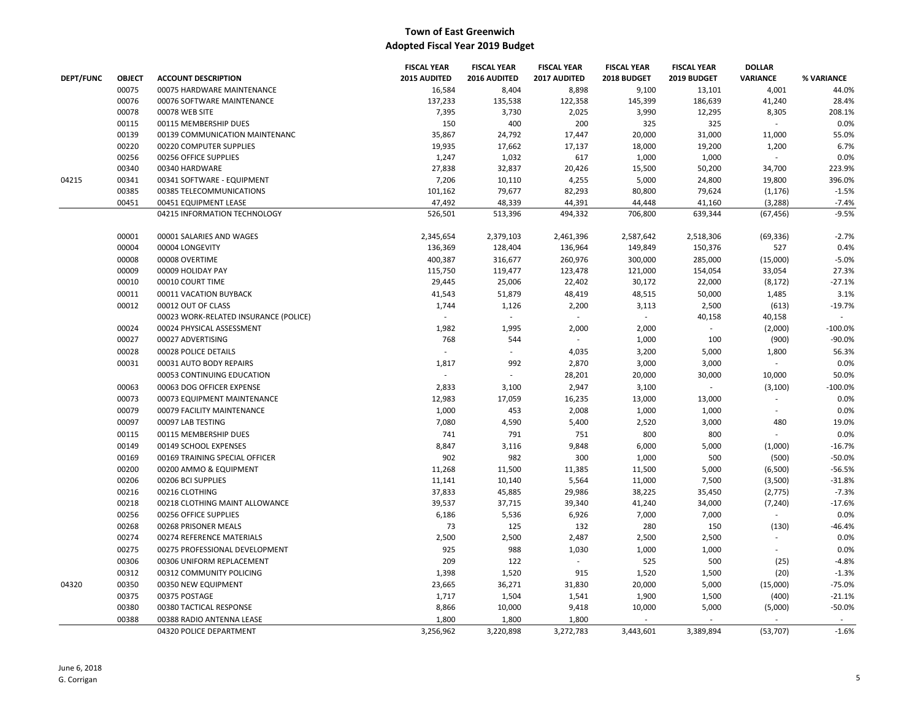|                  |               |                                       | <b>FISCAL YEAR</b> | <b>FISCAL YEAR</b> | <b>FISCAL YEAR</b> | <b>FISCAL YEAR</b> | <b>FISCAL YEAR</b>          | <b>DOLLAR</b>            |            |
|------------------|---------------|---------------------------------------|--------------------|--------------------|--------------------|--------------------|-----------------------------|--------------------------|------------|
| <b>DEPT/FUNC</b> | <b>OBJECT</b> | <b>ACCOUNT DESCRIPTION</b>            | 2015 AUDITED       | 2016 AUDITED       | 2017 AUDITED       | 2018 BUDGET        | 2019 BUDGET                 | <b>VARIANCE</b>          | % VARIANCE |
|                  | 00075         | 00075 HARDWARE MAINTENANCE            | 16,584             | 8,404              | 8,898              | 9,100              | 13,101                      | 4,001                    | 44.0%      |
|                  | 00076         | 00076 SOFTWARE MAINTENANCE            | 137,233            | 135,538            | 122,358            | 145,399            | 186,639                     | 41,240                   | 28.4%      |
|                  | 00078         | 00078 WEB SITE                        | 7,395              | 3,730              | 2,025              | 3,990              | 12,295                      | 8,305                    | 208.1%     |
|                  | 00115         | 00115 MEMBERSHIP DUES                 | 150                | 400                | 200                | 325                | 325                         | $\sim$                   | 0.0%       |
|                  | 00139         | 00139 COMMUNICATION MAINTENANC        | 35,867             | 24,792             | 17,447             | 20,000             | 31,000                      | 11,000                   | 55.0%      |
|                  | 00220         | 00220 COMPUTER SUPPLIES               | 19,935             | 17,662             | 17,137             | 18,000             | 19,200                      | 1,200                    | 6.7%       |
|                  | 00256         | 00256 OFFICE SUPPLIES                 | 1,247              | 1,032              | 617                | 1,000              | 1,000                       | $\sim$                   | 0.0%       |
|                  | 00340         | 00340 HARDWARE                        | 27,838             | 32,837             | 20,426             | 15,500             | 50,200                      | 34,700                   | 223.9%     |
| 04215            | 00341         | 00341 SOFTWARE - EQUIPMENT            | 7,206              | 10,110             | 4,255              | 5,000              | 24,800                      | 19,800                   | 396.0%     |
|                  | 00385         | 00385 TELECOMMUNICATIONS              | 101,162            | 79,677             | 82,293             | 80,800             | 79,624                      | (1, 176)                 | $-1.5%$    |
|                  | 00451         | 00451 EQUIPMENT LEASE                 | 47,492             | 48,339             | 44,391             | 44,448             | 41,160                      | (3, 288)                 | $-7.4%$    |
|                  |               | 04215 INFORMATION TECHNOLOGY          | 526,501            | 513,396            | 494,332            | 706,800            | 639,344                     | (67, 456)                | $-9.5%$    |
|                  |               |                                       |                    |                    |                    |                    |                             |                          |            |
|                  | 00001         | 00001 SALARIES AND WAGES              | 2,345,654          | 2,379,103          | 2,461,396          | 2,587,642          | 2,518,306                   | (69, 336)                | $-2.7%$    |
|                  | 00004         | 00004 LONGEVITY                       | 136,369            | 128,404            | 136,964            | 149,849            | 150,376                     | 527                      | 0.4%       |
|                  | 00008         | 00008 OVERTIME                        | 400,387            | 316,677            | 260,976            | 300,000            | 285,000                     | (15,000)                 | $-5.0%$    |
|                  | 00009         | 00009 HOLIDAY PAY                     | 115,750            | 119,477            | 123,478            | 121,000            | 154,054                     | 33,054                   | 27.3%      |
|                  | 00010         | 00010 COURT TIME                      | 29,445             | 25,006             | 22,402             | 30,172             | 22,000                      | (8, 172)                 | $-27.1%$   |
|                  | 00011         | 00011 VACATION BUYBACK                | 41,543             | 51,879             | 48,419             | 48,515             | 50,000                      | 1,485                    | 3.1%       |
|                  | 00012         | 00012 OUT OF CLASS                    | 1,744              | 1,126              | 2,200              | 3,113              | 2,500                       | (613)                    | $-19.7%$   |
|                  |               | 00023 WORK-RELATED INSURANCE (POLICE) |                    |                    |                    | $\sim$             | 40,158                      | 40,158                   | ÷.         |
|                  | 00024         | 00024 PHYSICAL ASSESSMENT             | 1,982              | 1,995              | 2,000              | 2,000              | $\sim$                      | (2,000)                  | $-100.0%$  |
|                  | 00027         | 00027 ADVERTISING                     | 768                | 544                |                    | 1,000              | 100                         | (900)                    | $-90.0%$   |
|                  | 00028         | 00028 POLICE DETAILS                  |                    |                    | 4,035              | 3,200              | 5,000                       | 1,800                    | 56.3%      |
|                  | 00031         | 00031 AUTO BODY REPAIRS               | 1,817              | 992                | 2,870              | 3,000              | 3,000                       |                          | 0.0%       |
|                  |               | 00053 CONTINUING EDUCATION            | ÷.                 | ÷                  | 28,201             | 20,000             | 30,000                      | 10,000                   | 50.0%      |
|                  | 00063         | 00063 DOG OFFICER EXPENSE             | 2,833              | 3,100              | 2,947              | 3,100              | $\mathcal{L}_{\mathcal{A}}$ | (3, 100)                 | $-100.0%$  |
|                  | 00073         | 00073 EQUIPMENT MAINTENANCE           | 12,983             | 17,059             | 16,235             | 13,000             | 13,000                      | $\overline{\phantom{a}}$ | 0.0%       |
|                  | 00079         | 00079 FACILITY MAINTENANCE            | 1,000              | 453                | 2,008              | 1,000              | 1,000                       | $\sim$                   | 0.0%       |
|                  | 00097         | 00097 LAB TESTING                     | 7,080              | 4,590              | 5,400              | 2,520              | 3,000                       | 480                      | 19.0%      |
|                  | 00115         | 00115 MEMBERSHIP DUES                 | 741                | 791                | 751                | 800                | 800                         | $\overline{\phantom{a}}$ | 0.0%       |
|                  |               |                                       |                    |                    |                    |                    |                             |                          |            |
|                  | 00149         | 00149 SCHOOL EXPENSES                 | 8,847              | 3,116              | 9,848              | 6,000              | 5,000                       | (1,000)                  | $-16.7%$   |
|                  | 00169         | 00169 TRAINING SPECIAL OFFICER        | 902                | 982                | 300                | 1,000              | 500                         | (500)                    | $-50.0%$   |
|                  | 00200         | 00200 AMMO & EQUIPMENT                | 11,268             | 11,500             | 11,385             | 11,500             | 5,000                       | (6,500)                  | $-56.5%$   |
|                  | 00206         | 00206 BCI SUPPLIES                    | 11,141             | 10,140             | 5,564              | 11,000             | 7,500                       | (3,500)                  | $-31.8%$   |
|                  | 00216         | 00216 CLOTHING                        | 37,833             | 45,885             | 29,986             | 38,225             | 35,450                      | (2,775)                  | $-7.3%$    |
|                  | 00218         | 00218 CLOTHING MAINT ALLOWANCE        | 39,537             | 37,715             | 39,340             | 41,240             | 34,000                      | (7, 240)                 | $-17.6%$   |
|                  | 00256         | 00256 OFFICE SUPPLIES                 | 6,186              | 5,536              | 6,926              | 7,000              | 7,000                       | $\sim$                   | 0.0%       |
|                  | 00268         | 00268 PRISONER MEALS                  | 73                 | 125                | 132                | 280                | 150                         | (130)                    | $-46.4%$   |
|                  | 00274         | 00274 REFERENCE MATERIALS             | 2,500              | 2,500              | 2,487              | 2,500              | 2,500                       | $\sim$                   | 0.0%       |
|                  | 00275         | 00275 PROFESSIONAL DEVELOPMENT        | 925                | 988                | 1,030              | 1,000              | 1,000                       | ÷                        | 0.0%       |
|                  | 00306         | 00306 UNIFORM REPLACEMENT             | 209                | 122                |                    | 525                | 500                         | (25)                     | $-4.8%$    |
|                  | 00312         | 00312 COMMUNITY POLICING              | 1,398              | 1,520              | 915                | 1,520              | 1,500                       | (20)                     | $-1.3%$    |
| 04320            | 00350         | 00350 NEW EQUIPMENT                   | 23,665             | 36,271             | 31,830             | 20,000             | 5,000                       | (15,000)                 | $-75.0%$   |
|                  | 00375         | 00375 POSTAGE                         | 1,717              | 1,504              | 1,541              | 1,900              | 1,500                       | (400)                    | $-21.1%$   |
|                  | 00380         | 00380 TACTICAL RESPONSE               | 8,866              | 10,000             | 9,418              | 10,000             | 5,000                       | (5,000)                  | $-50.0%$   |
|                  | 00388         | 00388 RADIO ANTENNA LEASE             | 1,800              | 1,800              | 1,800              | $\sim$             | ÷                           |                          | $\sim$     |
|                  |               | 04320 POLICE DEPARTMENT               | 3,256,962          | 3,220,898          | 3,272,783          | 3,443,601          | 3,389,894                   | (53,707)                 | $-1.6%$    |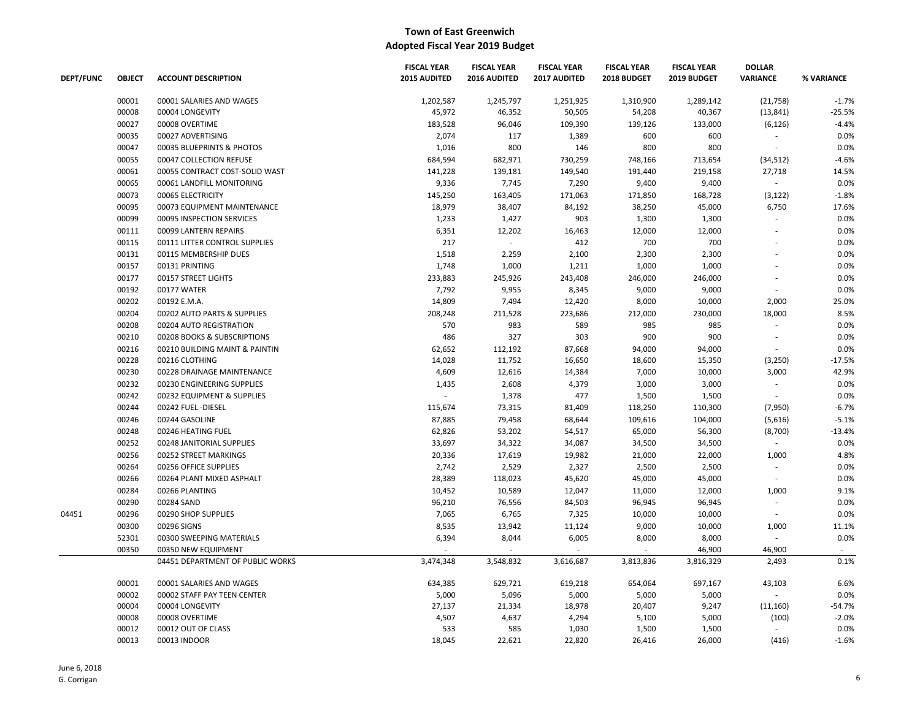|                  |                |                                  | <b>FISCAL YEAR</b> | <b>FISCAL YEAR</b> | <b>FISCAL YEAR</b> | <b>FISCAL YEAR</b> | <b>FISCAL YEAR</b> | <b>DOLLAR</b>   |            |
|------------------|----------------|----------------------------------|--------------------|--------------------|--------------------|--------------------|--------------------|-----------------|------------|
| <b>DEPT/FUNC</b> | <b>OBJECT</b>  | <b>ACCOUNT DESCRIPTION</b>       | 2015 AUDITED       | 2016 AUDITED       | 2017 AUDITED       | 2018 BUDGET        | 2019 BUDGET        | <b>VARIANCE</b> | % VARIANCE |
|                  | 00001          | 00001 SALARIES AND WAGES         | 1,202,587          | 1,245,797          | 1,251,925          | 1,310,900          | 1,289,142          | (21,758)        | $-1.7%$    |
|                  | 00008          | 00004 LONGEVITY                  | 45,972             | 46,352             | 50,505             | 54,208             | 40,367             | (13, 841)       | $-25.5%$   |
|                  | 00027          | 00008 OVERTIME                   | 183,528            | 96,046             | 109,390            | 139,126            | 133,000            | (6, 126)        | $-4.4%$    |
|                  | 00035          | 00027 ADVERTISING                | 2,074              | 117                | 1,389              | 600                | 600                | $\sim$          | 0.0%       |
|                  | 00047          | 00035 BLUEPRINTS & PHOTOS        | 1,016              | 800                | 146                | 800                | 800                | $\sim$          | 0.0%       |
|                  | 00055          | 00047 COLLECTION REFUSE          | 684,594            | 682,971            | 730,259            | 748,166            | 713,654            | (34, 512)       | $-4.6%$    |
|                  | 00061          | 00055 CONTRACT COST-SOLID WAST   | 141,228            | 139,181            | 149,540            | 191,440            | 219,158            | 27,718          | 14.5%      |
|                  | 00065          | 00061 LANDFILL MONITORING        | 9,336              | 7,745              | 7,290              | 9,400              | 9,400              | $\sim$          | 0.0%       |
|                  | 00073          | 00065 ELECTRICITY                | 145,250            | 163,405            | 171,063            | 171,850            | 168,728            | (3, 122)        | $-1.8%$    |
|                  | 00095          | 00073 EQUIPMENT MAINTENANCE      | 18,979             | 38,407             | 84,192             | 38,250             | 45,000             | 6,750           | 17.6%      |
|                  | 00099          | 00095 INSPECTION SERVICES        | 1,233              | 1,427              | 903                | 1,300              | 1,300              | ÷.              | 0.0%       |
|                  | 00111          | 00099 LANTERN REPAIRS            | 6,351              | 12,202             | 16,463             | 12,000             | 12,000             | ä,              | 0.0%       |
|                  | 00115          | 00111 LITTER CONTROL SUPPLIES    | 217                | ÷                  | 412                | 700                | 700                |                 | 0.0%       |
|                  | 00131          | 00115 MEMBERSHIP DUES            | 1,518              | 2,259              | 2,100              | 2,300              | 2,300              |                 | 0.0%       |
|                  | 00157          | 00131 PRINTING                   | 1,748              | 1,000              | 1,211              | 1,000              | 1,000              |                 | 0.0%       |
|                  | 00177          | 00157 STREET LIGHTS              | 233,883            | 245,926            | 243,408            | 246,000            | 246,000            |                 | 0.0%       |
|                  | 00192          | 00177 WATER                      | 7,792              | 9,955              | 8,345              | 9,000              | 9,000              |                 | 0.0%       |
|                  | 00202          | 00192 E.M.A.                     | 14,809             | 7,494              | 12,420             | 8,000              | 10,000             | 2,000           | 25.0%      |
|                  | 00204          | 00202 AUTO PARTS & SUPPLIES      | 208,248            | 211,528            | 223,686            | 212,000            | 230,000            | 18,000          | 8.5%       |
|                  | 00208          | 00204 AUTO REGISTRATION          | 570                | 983                | 589                | 985                | 985                | ÷,              | 0.0%       |
|                  | 00210          | 00208 BOOKS & SUBSCRIPTIONS      | 486                | 327                | 303                | 900                | 900                | $\sim$          | 0.0%       |
|                  | 00216          | 00210 BUILDING MAINT & PAINTIN   | 62,652             | 112,192            | 87,668             | 94,000             | 94,000             | $\overline{a}$  | 0.0%       |
|                  | 00228          | 00216 CLOTHING                   | 14,028             | 11,752             | 16,650             | 18,600             | 15,350             | (3,250)         | $-17.5%$   |
|                  | 00230          | 00228 DRAINAGE MAINTENANCE       | 4,609              | 12,616             | 14,384             | 7,000              | 10,000             | 3,000           | 42.9%      |
|                  | 00232          | 00230 ENGINEERING SUPPLIES       | 1,435              | 2,608              | 4,379              | 3,000              | 3,000              | $\sim$          | 0.0%       |
|                  | 00242          | 00232 EQUIPMENT & SUPPLIES       | $\omega$           | 1,378              | 477                | 1,500              | 1,500              | $\sim$          | 0.0%       |
|                  | 00244          | 00242 FUEL-DIESEL                | 115,674            | 73,315             | 81,409             | 118,250            | 110,300            | (7,950)         | $-6.7%$    |
|                  | 00246          | 00244 GASOLINE                   | 87,885             | 79,458             | 68,644             | 109,616            | 104,000            | (5,616)         | $-5.1%$    |
|                  | 00248          | 00246 HEATING FUEL               | 62,826             | 53,202             | 54,517             | 65,000             | 56,300             | (8,700)         | $-13.4%$   |
|                  | 00252          | 00248 JANITORIAL SUPPLIES        | 33,697             | 34,322             | 34,087             | 34,500             | 34,500             | $\sim$          | 0.0%       |
|                  | 00256          | 00252 STREET MARKINGS            | 20,336             | 17,619             | 19,982             | 21,000             | 22,000             | 1,000           | 4.8%       |
|                  | 00264          | 00256 OFFICE SUPPLIES            | 2,742              | 2,529              | 2,327              | 2,500              | 2,500              | ÷.              | 0.0%       |
|                  | 00266          | 00264 PLANT MIXED ASPHALT        | 28,389             | 118,023            |                    |                    |                    | $\sim$          | 0.0%       |
|                  |                |                                  |                    |                    | 45,620             | 45,000             | 45,000             |                 |            |
|                  | 00284          | 00266 PLANTING                   | 10,452             | 10,589             | 12,047             | 11,000             | 12,000             | 1,000<br>$\sim$ | 9.1%       |
|                  | 00290          | 00284 SAND                       | 96,210             | 76,556             | 84,503             | 96,945             | 96,945             |                 | 0.0%       |
| 04451            | 00296<br>00300 | 00290 SHOP SUPPLIES              | 7,065              | 6,765              | 7,325              | 10,000             | 10,000             | $\sim$          | 0.0%       |
|                  |                | 00296 SIGNS                      | 8,535              | 13,942             | 11,124             | 9,000              | 10,000             | 1,000<br>÷.     | 11.1%      |
|                  | 52301          | 00300 SWEEPING MATERIALS         | 6,394              | 8,044              | 6,005              | 8,000<br>÷.        | 8,000              |                 | 0.0%       |
|                  | 00350          | 00350 NEW EQUIPMENT              |                    |                    |                    |                    | 46,900             | 46,900          | $\sim$     |
|                  |                | 04451 DEPARTMENT OF PUBLIC WORKS | 3,474,348          | 3,548,832          | 3,616,687          | 3,813,836          | 3,816,329          | 2,493           | 0.1%       |
|                  | 00001          | 00001 SALARIES AND WAGES         | 634,385            | 629,721            | 619,218            | 654,064            | 697,167            | 43,103          | 6.6%       |
|                  | 00002          | 00002 STAFF PAY TEEN CENTER      | 5,000              | 5,096              | 5,000              | 5,000              | 5,000              | $\mathcal{L}$   | 0.0%       |
|                  | 00004          | 00004 LONGEVITY                  | 27,137             | 21,334             | 18,978             | 20,407             | 9,247              | (11, 160)       | $-54.7%$   |
|                  | 00008          | 00008 OVERTIME                   | 4,507              | 4,637              | 4,294              | 5,100              | 5,000              | (100)           | $-2.0%$    |
|                  | 00012          | 00012 OUT OF CLASS               | 533                | 585                | 1,030              | 1,500              | 1,500              | $\sim$          | 0.0%       |
|                  | 00013          | 00013 INDOOR                     | 18,045             | 22,621             | 22,820             | 26,416             | 26,000             | (416)           | $-1.6%$    |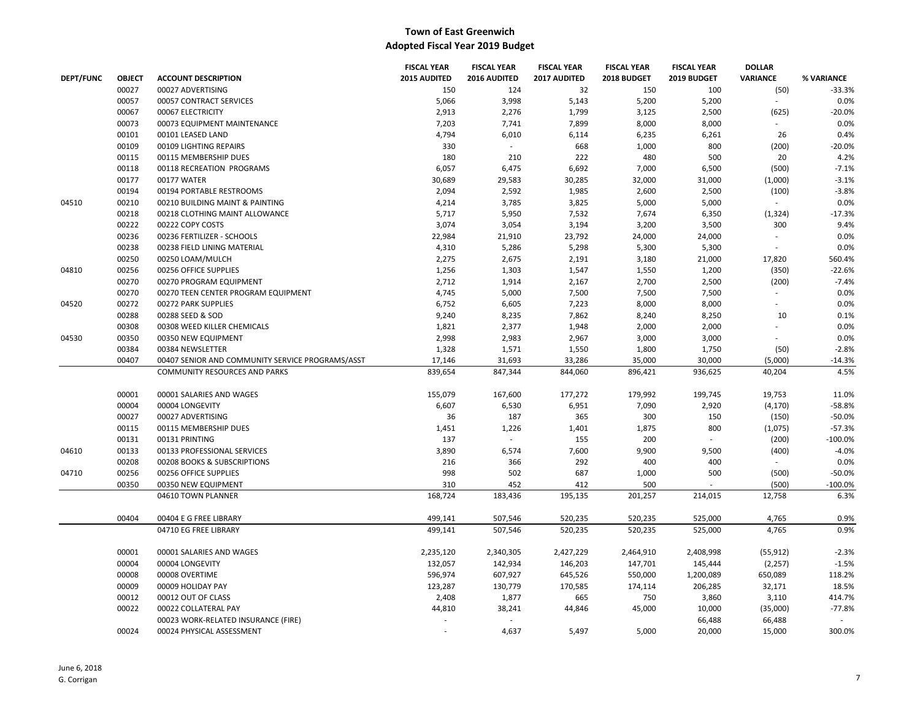|                  |               |                                                  | <b>FISCAL YEAR</b> | <b>FISCAL YEAR</b> | <b>FISCAL YEAR</b> | <b>FISCAL YEAR</b> | <b>FISCAL YEAR</b> | <b>DOLLAR</b>   |            |
|------------------|---------------|--------------------------------------------------|--------------------|--------------------|--------------------|--------------------|--------------------|-----------------|------------|
| <b>DEPT/FUNC</b> | <b>OBJECT</b> | <b>ACCOUNT DESCRIPTION</b>                       | 2015 AUDITED       | 2016 AUDITED       | 2017 AUDITED       | 2018 BUDGET        | 2019 BUDGET        | <b>VARIANCE</b> | % VARIANCE |
|                  | 00027         | 00027 ADVERTISING                                | 150                | 124                | 32                 | 150                | 100                | (50)            | $-33.3%$   |
|                  | 00057         | 00057 CONTRACT SERVICES                          | 5,066              | 3,998              | 5,143              | 5,200              | 5,200              |                 | 0.0%       |
|                  | 00067         | 00067 ELECTRICITY                                | 2,913              | 2,276              | 1,799              | 3,125              | 2,500              | (625)           | $-20.0%$   |
|                  | 00073         | 00073 EQUIPMENT MAINTENANCE                      | 7,203              | 7,741              | 7,899              | 8,000              | 8,000              | $\sim$          | 0.0%       |
|                  | 00101         | 00101 LEASED LAND                                | 4,794              | 6,010              | 6,114              | 6,235              | 6,261              | 26              | 0.4%       |
|                  | 00109         | 00109 LIGHTING REPAIRS                           | 330                | $\sim$             | 668                | 1,000              | 800                | (200)           | $-20.0%$   |
|                  | 00115         | 00115 MEMBERSHIP DUES                            | 180                | 210                | 222                | 480                | 500                | 20              | 4.2%       |
|                  | 00118         | 00118 RECREATION PROGRAMS                        | 6,057              | 6,475              | 6,692              | 7,000              | 6,500              | (500)           | $-7.1%$    |
|                  | 00177         | 00177 WATER                                      | 30,689             | 29,583             | 30,285             | 32,000             | 31,000             | (1,000)         | $-3.1%$    |
|                  | 00194         | 00194 PORTABLE RESTROOMS                         | 2,094              | 2,592              | 1,985              | 2,600              | 2,500              | (100)           | $-3.8%$    |
| 04510            | 00210         | 00210 BUILDING MAINT & PAINTING                  | 4,214              | 3,785              | 3,825              | 5,000              | 5,000              | ÷.              | 0.0%       |
|                  | 00218         | 00218 CLOTHING MAINT ALLOWANCE                   | 5,717              | 5,950              | 7,532              | 7,674              | 6,350              | (1, 324)        | $-17.3%$   |
|                  | 00222         | 00222 COPY COSTS                                 | 3,074              | 3,054              | 3,194              | 3,200              | 3,500              | 300             | 9.4%       |
|                  | 00236         | 00236 FERTILIZER - SCHOOLS                       | 22,984             | 21,910             | 23,792             | 24,000             | 24,000             | ÷.              | 0.0%       |
|                  | 00238         | 00238 FIELD LINING MATERIAL                      | 4,310              | 5,286              | 5,298              | 5,300              | 5,300              |                 | 0.0%       |
|                  | 00250         | 00250 LOAM/MULCH                                 | 2,275              | 2,675              | 2,191              | 3,180              | 21,000             | 17,820          | 560.4%     |
| 04810            | 00256         | 00256 OFFICE SUPPLIES                            | 1,256              | 1,303              | 1,547              | 1,550              | 1,200              | (350)           | $-22.6%$   |
|                  | 00270         | 00270 PROGRAM EQUIPMENT                          | 2,712              | 1,914              | 2,167              | 2,700              | 2,500              | (200)           | $-7.4%$    |
|                  | 00270         | 00270 TEEN CENTER PROGRAM EQUIPMENT              | 4,745              | 5,000              | 7,500              | 7,500              | 7,500              | ÷.              | 0.0%       |
| 04520            | 00272         | 00272 PARK SUPPLIES                              | 6,752              | 6,605              | 7,223              | 8,000              | 8,000              | $\blacksquare$  | 0.0%       |
|                  | 00288         | 00288 SEED & SOD                                 | 9,240              | 8,235              | 7,862              | 8,240              | 8,250              | 10              | 0.1%       |
|                  | 00308         | 00308 WEED KILLER CHEMICALS                      | 1,821              | 2,377              | 1,948              | 2,000              | 2,000              |                 | 0.0%       |
| 04530            | 00350         | 00350 NEW EQUIPMENT                              | 2,998              | 2,983              | 2,967              | 3,000              | 3,000              |                 | 0.0%       |
|                  | 00384         | 00384 NEWSLETTER                                 | 1,328              | 1,571              | 1,550              | 1,800              | 1,750              | (50)            | $-2.8%$    |
|                  | 00407         | 00407 SENIOR AND COMMUNITY SERVICE PROGRAMS/ASST | 17,146             | 31,693             | 33,286             | 35,000             | 30,000             | (5,000)         | $-14.3%$   |
|                  |               | <b>COMMUNITY RESOURCES AND PARKS</b>             | 839,654            | 847,344            | 844,060            | 896,421            | 936,625            | 40,204          | 4.5%       |
|                  |               |                                                  |                    |                    |                    |                    |                    |                 |            |
|                  | 00001         | 00001 SALARIES AND WAGES                         | 155,079            | 167,600            | 177,272            | 179,992            | 199,745            | 19,753          | 11.0%      |
|                  | 00004         | 00004 LONGEVITY                                  | 6,607              | 6,530              | 6,951              | 7,090              | 2,920              | (4, 170)        | $-58.8%$   |
|                  | 00027         | 00027 ADVERTISING                                | 36                 | 187                | 365                | 300                | 150                | (150)           | $-50.0%$   |
|                  | 00115         | 00115 MEMBERSHIP DUES                            | 1,451              | 1,226              | 1,401              | 1,875              | 800                | (1,075)         | $-57.3%$   |
|                  | 00131         | 00131 PRINTING                                   | 137                |                    | 155                | 200                |                    | (200)           | $-100.0%$  |
| 04610            | 00133         | 00133 PROFESSIONAL SERVICES                      | 3,890              | 6,574              | 7,600              | 9,900              | 9,500              | (400)           | $-4.0%$    |
|                  | 00208         | 00208 BOOKS & SUBSCRIPTIONS                      | 216                | 366                | 292                | 400                | 400                | $\sim$          | 0.0%       |
| 04710            | 00256         | 00256 OFFICE SUPPLIES                            | 998                | 502                | 687                | 1,000              | 500                | (500)           | $-50.0%$   |
|                  | 00350         | 00350 NEW EQUIPMENT                              | 310                | 452                | 412                | 500                |                    | (500)           | $-100.0%$  |
|                  |               | 04610 TOWN PLANNER                               | 168,724            | 183,436            | 195,135            | 201,257            | 214,015            | 12,758          | 6.3%       |
|                  |               |                                                  |                    |                    |                    |                    |                    |                 |            |
|                  | 00404         | 00404 E G FREE LIBRARY                           | 499,141            | 507,546            | 520,235            | 520,235            | 525,000            | 4,765           | 0.9%       |
|                  |               | 04710 EG FREE LIBRARY                            | 499,141            | 507,546            | 520,235            | 520,235            | 525,000            | 4,765           | 0.9%       |
|                  |               |                                                  |                    |                    |                    |                    |                    |                 |            |
|                  | 00001         | 00001 SALARIES AND WAGES                         | 2,235,120          | 2,340,305          | 2,427,229          | 2,464,910          | 2,408,998          | (55, 912)       | $-2.3%$    |
|                  | 00004         | 00004 LONGEVITY                                  | 132,057            | 142,934            | 146,203            | 147,701            | 145,444            | (2, 257)        | $-1.5%$    |
|                  | 00008         | 00008 OVERTIME                                   | 596,974            | 607,927            | 645,526            | 550,000            | 1,200,089          | 650,089         | 118.2%     |
|                  | 00009         | 00009 HOLIDAY PAY                                | 123,287            | 130,779            | 170,585            | 174,114            | 206,285            | 32,171          | 18.5%      |
|                  | 00012         | 00012 OUT OF CLASS                               | 2,408              | 1,877              | 665                | 750                | 3,860              | 3,110           | 414.7%     |
|                  | 00022         | 00022 COLLATERAL PAY                             | 44,810             | 38,241             | 44,846             | 45,000             | 10,000             | (35,000)        | $-77.8%$   |
|                  |               | 00023 WORK-RELATED INSURANCE (FIRE)              |                    |                    |                    |                    | 66,488             | 66,488          |            |
|                  | 00024         | 00024 PHYSICAL ASSESSMENT                        |                    | 4,637              | 5,497              | 5,000              | 20,000             | 15,000          | 300.0%     |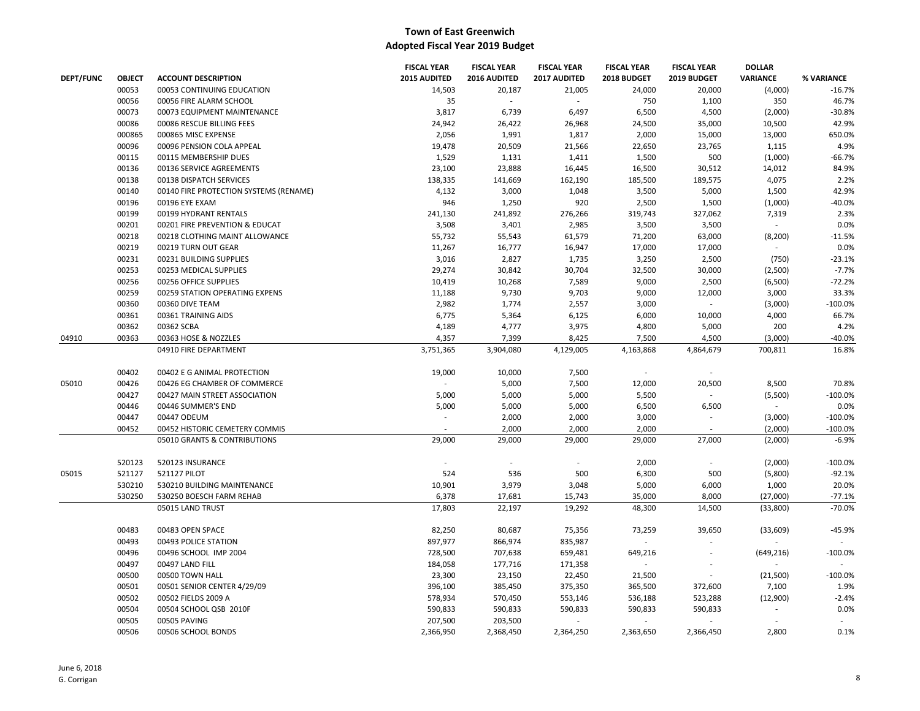|                  |               |                                        | <b>FISCAL YEAR</b> | <b>FISCAL YEAR</b> | <b>FISCAL YEAR</b> | <b>FISCAL YEAR</b>       | <b>FISCAL YEAR</b>       | <b>DOLLAR</b>               |            |
|------------------|---------------|----------------------------------------|--------------------|--------------------|--------------------|--------------------------|--------------------------|-----------------------------|------------|
| <b>DEPT/FUNC</b> | <b>OBJECT</b> | <b>ACCOUNT DESCRIPTION</b>             | 2015 AUDITED       | 2016 AUDITED       | 2017 AUDITED       | 2018 BUDGET              | 2019 BUDGET              | <b>VARIANCE</b>             | % VARIANCE |
|                  | 00053         | 00053 CONTINUING EDUCATION             | 14,503             | 20,187             | 21,005             | 24,000                   | 20,000                   | (4,000)                     | $-16.7%$   |
|                  | 00056         | 00056 FIRE ALARM SCHOOL                | 35                 | $\sim$             | $\sim$             | 750                      | 1,100                    | 350                         | 46.7%      |
|                  | 00073         | 00073 EQUIPMENT MAINTENANCE            | 3,817              | 6,739              | 6,497              | 6,500                    | 4,500                    | (2,000)                     | $-30.8%$   |
|                  | 00086         | 00086 RESCUE BILLING FEES              | 24,942             | 26,422             | 26,968             | 24,500                   | 35,000                   | 10,500                      | 42.9%      |
|                  | 000865        | 000865 MISC EXPENSE                    | 2,056              | 1,991              | 1,817              | 2,000                    | 15,000                   | 13,000                      | 650.0%     |
|                  | 00096         | 00096 PENSION COLA APPEAL              | 19,478             | 20,509             | 21,566             | 22,650                   | 23,765                   | 1,115                       | 4.9%       |
|                  | 00115         | 00115 MEMBERSHIP DUES                  | 1,529              | 1,131              | 1,411              | 1,500                    | 500                      | (1,000)                     | $-66.7%$   |
|                  | 00136         | 00136 SERVICE AGREEMENTS               | 23,100             | 23,888             | 16,445             | 16,500                   | 30,512                   | 14,012                      | 84.9%      |
|                  | 00138         | 00138 DISPATCH SERVICES                | 138,335            | 141,669            | 162,190            | 185,500                  | 189,575                  | 4,075                       | 2.2%       |
|                  | 00140         | 00140 FIRE PROTECTION SYSTEMS (RENAME) | 4,132              | 3,000              | 1,048              | 3,500                    | 5,000                    | 1,500                       | 42.9%      |
|                  | 00196         | 00196 EYE EXAM                         | 946                | 1,250              | 920                | 2,500                    | 1,500                    | (1,000)                     | $-40.0%$   |
|                  | 00199         | 00199 HYDRANT RENTALS                  | 241,130            | 241,892            | 276,266            | 319,743                  | 327,062                  | 7,319                       | 2.3%       |
|                  | 00201         | 00201 FIRE PREVENTION & EDUCAT         | 3,508              | 3,401              | 2,985              | 3,500                    | 3,500                    | $\sim$                      | 0.0%       |
|                  | 00218         | 00218 CLOTHING MAINT ALLOWANCE         | 55,732             | 55,543             | 61,579             | 71,200                   | 63,000                   | (8,200)                     | $-11.5%$   |
|                  | 00219         | 00219 TURN OUT GEAR                    | 11,267             | 16,777             | 16,947             | 17,000                   | 17,000                   | $\sim$                      | 0.0%       |
|                  |               |                                        |                    |                    |                    |                          |                          |                             |            |
|                  | 00231         | 00231 BUILDING SUPPLIES                | 3,016              | 2,827              | 1,735              | 3,250                    | 2,500                    | (750)                       | $-23.1%$   |
|                  | 00253         | 00253 MEDICAL SUPPLIES                 | 29,274             | 30,842             | 30,704             | 32,500                   | 30,000                   | (2,500)                     | $-7.7%$    |
|                  | 00256         | 00256 OFFICE SUPPLIES                  | 10,419             | 10,268             | 7,589              | 9,000                    | 2,500                    | (6,500)                     | $-72.2%$   |
|                  | 00259         | 00259 STATION OPERATING EXPENS         | 11,188             | 9,730              | 9,703              | 9,000                    | 12,000                   | 3,000                       | 33.3%      |
|                  | 00360         | 00360 DIVE TEAM                        | 2,982              | 1,774              | 2,557              | 3,000                    | $\sim$                   | (3,000)                     | $-100.0%$  |
|                  | 00361         | 00361 TRAINING AIDS                    | 6,775              | 5,364              | 6,125              | 6,000                    | 10,000                   | 4,000                       | 66.7%      |
|                  | 00362         | 00362 SCBA                             | 4,189              | 4,777              | 3,975              | 4,800                    | 5,000                    | 200                         | 4.2%       |
| 04910            | 00363         | 00363 HOSE & NOZZLES                   | 4,357              | 7,399              | 8,425              | 7,500                    | 4,500                    | (3,000)                     | $-40.0%$   |
|                  |               | 04910 FIRE DEPARTMENT                  | 3,751,365          | 3,904,080          | 4,129,005          | 4,163,868                | 4,864,679                | 700,811                     | 16.8%      |
|                  |               |                                        |                    |                    |                    |                          |                          |                             |            |
|                  | 00402         | 00402 E G ANIMAL PROTECTION            | 19,000             | 10,000             | 7,500              | $\overline{\phantom{a}}$ | $\overline{\phantom{a}}$ |                             |            |
| 05010            | 00426         | 00426 EG CHAMBER OF COMMERCE           | $\sim$             | 5,000              | 7,500              | 12,000                   | 20,500                   | 8,500                       | 70.8%      |
|                  | 00427         | 00427 MAIN STREET ASSOCIATION          | 5,000              | 5,000              | 5,000              | 5,500                    | $\overline{\phantom{a}}$ | (5,500)                     | $-100.0%$  |
|                  | 00446         | 00446 SUMMER'S END                     | 5,000              | 5,000              | 5,000              | 6,500                    | 6,500                    | $\mathcal{L}_{\mathcal{A}}$ | 0.0%       |
|                  | 00447         | 00447 ODEUM                            | $\sim$             | 2,000              | 2,000              | 3,000                    | $\mathbf{r}$             | (3,000)                     | $-100.0%$  |
|                  | 00452         | 00452 HISTORIC CEMETERY COMMIS         |                    | 2,000              | 2,000              | 2,000                    |                          | (2,000)                     | $-100.0%$  |
|                  |               | 05010 GRANTS & CONTRIBUTIONS           | 29,000             | 29,000             | 29,000             | 29,000                   | 27,000                   | (2,000)                     | $-6.9%$    |
|                  |               |                                        |                    |                    |                    |                          |                          |                             |            |
|                  | 520123        | 520123 INSURANCE                       |                    |                    | $\sim$             | 2,000                    | $\overline{\phantom{a}}$ | (2,000)                     | $-100.0%$  |
| 05015            | 521127        | <b>521127 PILOT</b>                    | 524                | 536                | 500                | 6,300                    | 500                      | (5,800)                     | $-92.1%$   |
|                  | 530210        | 530210 BUILDING MAINTENANCE            | 10,901             | 3,979              | 3,048              | 5,000                    | 6,000                    | 1,000                       | 20.0%      |
|                  | 530250        | 530250 BOESCH FARM REHAB               | 6,378              | 17,681             | 15,743             | 35,000                   | 8,000                    | (27,000)                    | $-77.1%$   |
|                  |               | 05015 LAND TRUST                       | 17,803             | 22,197             | 19,292             | 48,300                   | 14,500                   | (33,800)                    | $-70.0%$   |
|                  | 00483         | 00483 OPEN SPACE                       | 82,250             | 80,687             | 75,356             | 73,259                   | 39,650                   | (33,609)                    | $-45.9%$   |
|                  | 00493         | 00493 POLICE STATION                   | 897,977            | 866,974            | 835,987            | L.                       | $\sim$                   | ä,                          |            |
|                  | 00496         | 00496 SCHOOL IMP 2004                  | 728,500            | 707,638            | 659,481            | 649,216                  | $\overline{\phantom{a}}$ | (649, 216)                  | $-100.0%$  |
|                  | 00497         | 00497 LAND FILL                        | 184,058            | 177,716            | 171,358            |                          |                          |                             |            |
|                  |               |                                        |                    |                    |                    |                          |                          |                             |            |
|                  | 00500         | 00500 TOWN HALL                        | 23,300             | 23,150             | 22,450             | 21,500                   |                          | (21,500)                    | $-100.0%$  |
|                  | 00501         | 00501 SENIOR CENTER 4/29/09            | 396,100            | 385,450            | 375,350            | 365,500                  | 372,600                  | 7,100                       | 1.9%       |
|                  | 00502         | 00502 FIELDS 2009 A                    | 578,934            | 570,450            | 553,146            | 536,188                  | 523,288                  | (12,900)                    | $-2.4%$    |
|                  | 00504         | 00504 SCHOOL QSB 2010F                 | 590,833            | 590,833            | 590,833            | 590,833                  | 590,833                  |                             | 0.0%       |
|                  | 00505         | 00505 PAVING                           | 207,500            | 203,500            |                    |                          | ×.                       |                             | $\sim$     |
|                  | 00506         | 00506 SCHOOL BONDS                     | 2,366,950          | 2,368,450          | 2,364,250          | 2,363,650                | 2,366,450                | 2,800                       | 0.1%       |